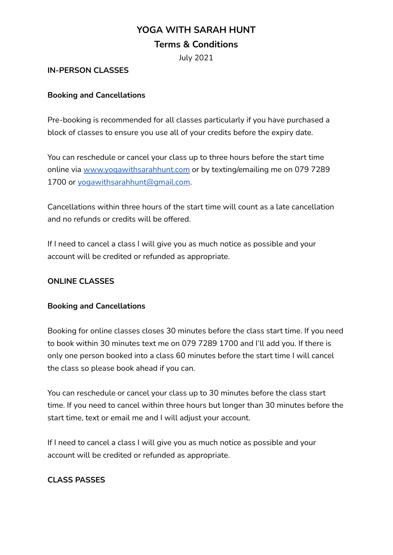# **YOGA WITH SARAH HUNT**

# **Terms & Conditions**

July 2021

## **IN-PERSON CLASSES**

## **Booking and Cancellations**

Pre-booking is recommended for all classes particularly if you have purchased a block of classes to ensure you use all of your credits before the expiry date.

You can reschedule or cancel your class up to three hours before the start time online via [www.yogawithsarahhunt.com](http://www.yogawithsarahhunt.com) or by texting/emailing me on 079 7289 1700 or [yogawithsarahhunt@gmail.com](mailto:yogawithsarahhunt@gmail.com).

Cancellations within three hours of the start time will count as a late cancellation and no refunds or credits will be offered.

If I need to cancel a class I will give you as much notice as possible and your account will be credited or refunded as appropriate.

## **ONLINE CLASSES**

#### **Booking and Cancellations**

Booking for online classes closes 30 minutes before the class start time. If you need to book within 30 minutes text me on 079 7289 1700 and I'll add you. If there is only one person booked into a class 60 minutes before the start time I will cancel the class so please book ahead if you can.

You can reschedule or cancel your class up to 30 minutes before the class start time. If you need to cancel within three hours but longer than 30 minutes before the start time, text or email me and I will adjust your account.

If I need to cancel a class I will give you as much notice as possible and your account will be credited or refunded as appropriate.

## **CLASS PASSES**